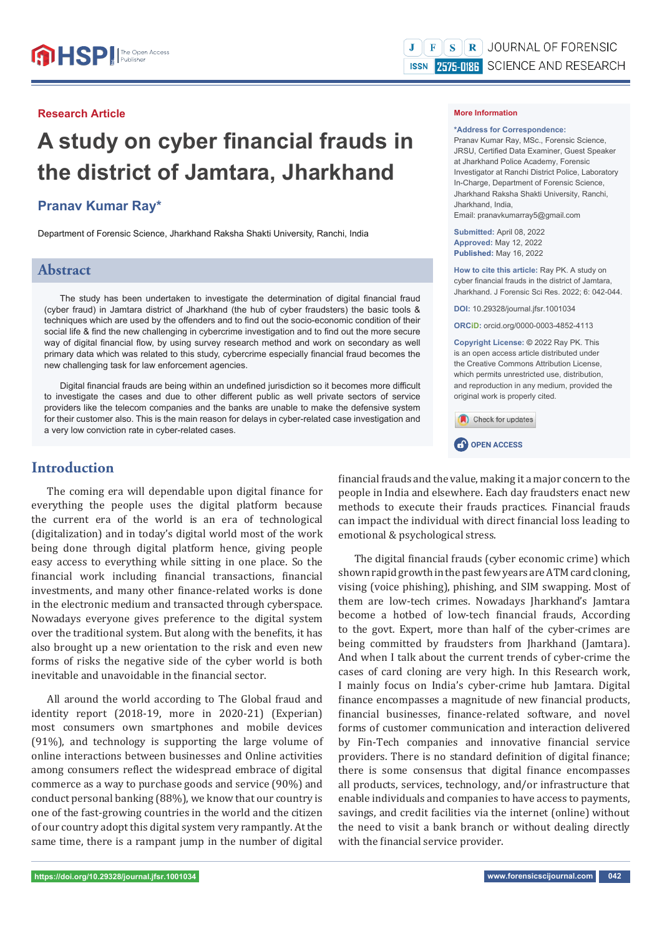## **Research Article**

# **A study on cyber financial frauds in the district of Jamtara, Jharkhand**

# **Pranav Kumar Ray\***

Department of Forensic Science, Jharkhand Raksha Shakti University, Ranchi, India

# **Abstract**

The study has been undertaken to investigate the determination of digital financial fraud (cyber fraud) in Jamtara district of Jharkhand (the hub of cyber fraudsters) the basic tools & techniques which are used by the offenders and to find out the socio-economic condition of their social life & find the new challenging in cybercrime investigation and to find out the more secure way of digital financial flow, by using survey research method and work on secondary as well primary data which was related to this study, cybercrime especially financial fraud becomes the new challenging task for law enforcement agencies.

Digital financial frauds are being within an undefined jurisdiction so it becomes more difficult to investigate the cases and due to other different public as well private sectors of service providers like the telecom companies and the banks are unable to make the defensive system for their customer also. This is the main reason for delays in cyber-related case investigation and a very low conviction rate in cyber-related cases.

# **Introduction**

The coming era will dependable upon digital finance for everything the people uses the digital platform because the current era of the world is an era of technological (digitalization) and in today's digital world most of the work being done through digital platform hence, giving people easy access to everything while sitting in one place. So the financial work including financial transactions, financial investments, and many other finance-related works is done in the electronic medium and transacted through cyberspace. Nowadays everyone gives preference to the digital system over the traditional system. But along with the benefits, it has also brought up a new orientation to the risk and even new forms of risks the negative side of the cyber world is both inevitable and unavoidable in the financial sector.

All around the world according to The Global fraud and identity report (2018-19, more in 2020-21) (Experian) most consumers own smartphones and mobile devices (91%), and technology is supporting the large volume of online interactions between businesses and Online activities among consumers reflect the widespread embrace of digital commerce as a way to purchase goods and service (90%) and conduct personal banking (88%), we know that our country is one of the fast-growing countries in the world and the citizen of our country adopt this digital system very rampantly. At the same time, there is a rampant jump in the number of digital

#### **More Information**

#### **\*Address for Correspondence:**

Pranav Kumar Ray, MSc., Forensic Science, JRSU, Certified Data Examiner, Guest Speaker at Jharkhand Police Academy, Forensic Investigator at Ranchi District Police, Laboratory In-Charge, Department of Forensic Science, Jharkhand Raksha Shakti University, Ranchi, Jharkhand, India, Email: pranavkumarray5@gmail.com

**Submitted:** April 08, 2022 **Approved:** May 12, 2022 **Published:** May 16, 2022

**How to cite this article:** Ray PK. A study on cyber financial frauds in the district of Jamtara, Jharkhand. J Forensic Sci Res. 2022; 6: 042-044.

**DOI:** 10.29328/journal.jfsr.1001034

**ORCiD:** orcid.org/0000-0003-4852-4113

**Copyright License: ©** 2022 Ray PK. This is an open access article distributed under the Creative Commons Attribution License, which permits unrestricted use, distribution, and reproduction in any medium, provided the original work is properly cited.





financial frauds and the value, making it a major concern to the people in India and elsewhere. Each day fraudsters enact new methods to execute their frauds practices. Financial frauds can impact the individual with direct financial loss leading to emotional & psychological stress.

The digital financial frauds (cyber economic crime) which shown rapid growth in the past few years are ATM card cloning, vising (voice phishing), phishing, and SIM swapping. Most of them are low-tech crimes. Nowadays Jharkhand's Jamtara become a hotbed of low-tech financial frauds, According to the govt. Expert, more than half of the cyber-crimes are being committed by fraudsters from Jharkhand (Jamtara). And when I talk about the current trends of cyber-crime the cases of card cloning are very high. In this Research work, I mainly focus on India's cyber-crime hub Jamtara. Digital finance encompasses a magnitude of new financial products, financial businesses, finance-related software, and novel forms of customer communication and interaction delivered by Fin-Tech companies and innovative financial service providers. There is no standard definition of digital finance; there is some consensus that digital finance encompasses all products, services, technology, and/or infrastructure that enable individuals and companies to have access to payments, savings, and credit facilities via the internet (online) without the need to visit a bank branch or without dealing directly with the financial service provider.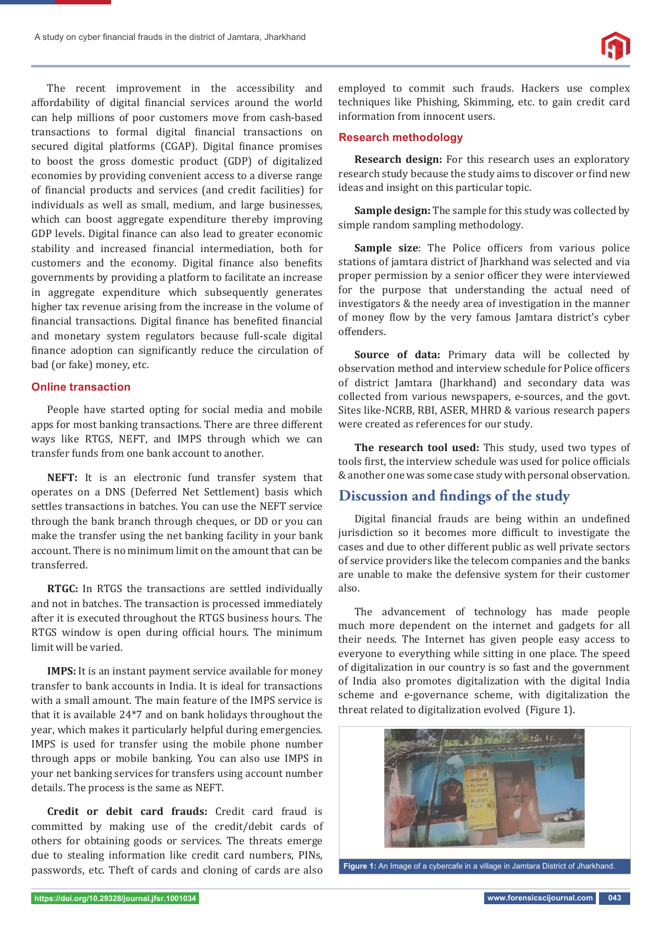

The recent improvement in the accessibility and affordability of digital financial services around the world can help millions of poor customers move from cash-based transactions to formal digital financial transactions on secured digital platforms (CGAP). Digital finance promises to boost the gross domestic product (GDP) of digitalized economies by providing convenient access to a diverse range of financial products and services (and credit facilities) for individuals as well as small, medium, and large businesses, which can boost aggregate expenditure thereby improving GDP levels. Digital finance can also lead to greater economic stability and increased financial intermediation, both for customers and the economy. Digital finance also benefits governments by providing a platform to facilitate an increase in aggregate expenditure which subsequently generates higher tax revenue arising from the increase in the volume of financial transactions. Digital finance has benefited financial and monetary system regulators because full-scale digital finance adoption can significantly reduce the circulation of bad (or fake) money, etc.

## **Online transaction**

People have started opting for social media and mobile apps for most banking transactions. There are three different ways like RTGS, NEFT, and IMPS through which we can transfer funds from one bank account to another.

**NEFT:** It is an electronic fund transfer system that operates on a DNS (Deferred Net Settlement) basis which settles transactions in batches. You can use the NEFT service through the bank branch through cheques, or DD or you can make the transfer using the net banking facility in your bank account. There is no minimum limit on the amount that can be transferred.

**RTGC:** In RTGS the transactions are settled individually and not in batches. The transaction is processed immediately after it is executed throughout the RTGS business hours. The RTGS window is open during official hours. The minimum limit will be varied.

**IMPS:** It is an instant payment service available for money transfer to bank accounts in India. It is ideal for transactions with a small amount. The main feature of the IMPS service is that it is available 24\*7 and on bank holidays throughout the year, which makes it particularly helpful during emergencies. IMPS is used for transfer using the mobile phone number through apps or mobile banking. You can also use IMPS in your net banking services for transfers using account number details. The process is the same as NEFT.

**Credit or debit card frauds:** Credit card fraud is committed by making use of the credit/debit cards of others for obtaining goods or services. The threats emerge due to stealing information like credit card numbers, PINs, passwords, etc. Theft of cards and cloning of cards are also

employed to commit such frauds. Hackers use complex techniques like Phishing, Skimming, etc. to gain credit card information from innocent users.

### **Research methodology**

**Research design:** For this research uses an exploratory research study because the study aims to discover or find new ideas and insight on this particular topic.

**Sample design:** The sample for this study was collected by simple random sampling methodology.

Sample size: The Police officers from various police stations of jamtara district of Jharkhand was selected and via proper permission by a senior officer they were interviewed for the purpose that understanding the actual need of investigators & the needy area of investigation in the manner of money flow by the very famous Jamtara district's cyber offenders.

**Source of data:** Primary data will be collected by observation method and interview schedule for Police officers of district Jamtara (Jharkhand) and secondary data was collected from various newspapers, e-sources, and the govt. Sites like-NCRB, RBI, ASER, MHRD & various research papers were created as references for our study.

**The research tool used:** This study, used two types of tools first, the interview schedule was used for police officials & another one was some case study with personal observation.

# **Discussion and findings of the study**

Digital financial frauds are being within an undefined jurisdiction so it becomes more difficult to investigate the cases and due to other different public as well private sectors of service providers like the telecom companies and the banks are unable to make the defensive system for their customer also.

The advancement of technology has made people much more dependent on the internet and gadgets for all their needs. The Internet has given people easy access to everyone to everything while sitting in one place. The speed of digitalization in our country is so fast and the government of India also promotes digitalization with the digital India scheme and e-governance scheme, with digitalization the threat related to digitalization evolved (Figure 1).



**Figure 1:** An Image of a cybercafe in a village in Jamtara District of Jharkhand.